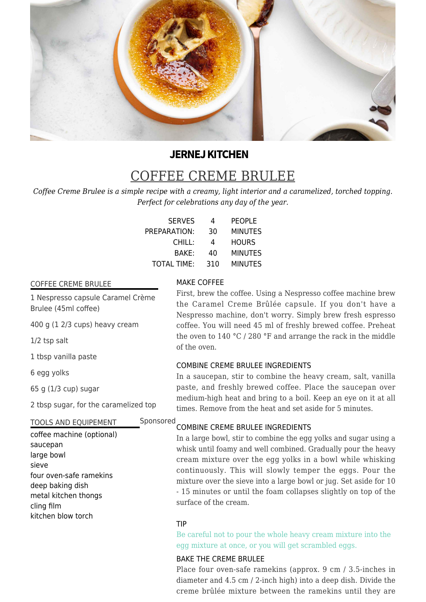

# **JERNEJ KITCHEN**

# COFFEE CREME BRULEE

*Coffee Creme Brulee is a simple recipe with a creamy, light interior and a caramelized, torched topping. Perfect for celebrations any day of the year.*

| <b>SERVES</b>      | 4   | <b>PEOPLE</b>  |
|--------------------|-----|----------------|
| PREPARATION:       | 30  | <b>MINUTES</b> |
| CHILL:             | 4   | <b>HOURS</b>   |
| BAKE:              | 40  | <b>MINUTES</b> |
| <b>TOTAL TIME:</b> | 310 | <b>MINUTES</b> |

# COFFEE CREME BRULEE

1 Nespresso capsule Caramel Crème Brulee (45ml coffee)

400 g (1 2/3 cups) heavy cream

1/2 tsp salt

1 tbsp vanilla paste

6 egg yolks

65 g (1/3 cup) sugar

2 tbsp sugar, for the caramelized top

# TOOLS AND EQUIPEMENT

coffee machine (optional) saucepan large bowl sieve four oven-safe ramekins deep baking dish metal kitchen thongs cling film kitchen blow torch

# MAKE COFFEE

First, brew the coffee. Using a Nespresso coffee machine brew the Caramel Creme Brûlée capsule. If you don't have a Nespresso machine, don't worry. Simply brew fresh espresso coffee. You will need 45 ml of freshly brewed coffee. Preheat the oven to 140 °C / 280 °F and arrange the rack in the middle of the oven.

# COMBINE CREME BRULEE INGREDIENTS

In a saucepan, stir to combine the heavy cream, salt, vanilla paste, and freshly brewed coffee. Place the saucepan over medium-high heat and bring to a boil. Keep an eye on it at all times. Remove from the heat and set aside for 5 minutes.

#### COMBINE CREME BRULEE INGREDIENTS Sponsored

In a large bowl, stir to combine the egg yolks and sugar using a whisk until foamy and well combined. Gradually pour the heavy cream mixture over the egg yolks in a bowl while whisking continuously. This will slowly temper the eggs. Pour the mixture over the sieve into a large bowl or jug. Set aside for 10 - 15 minutes or until the foam collapses slightly on top of the surface of the cream.

### TIP

Be careful not to pour the whole heavy cream mixture into the egg mixture at once, or you will get scrambled eggs.

# BAKE THE CREME BRULEE

Place four oven-safe ramekins (approx. 9 cm / 3.5-inches in diameter and 4.5 cm / 2-inch high) into a deep dish. Divide the creme brûlée mixture between the ramekins until they are